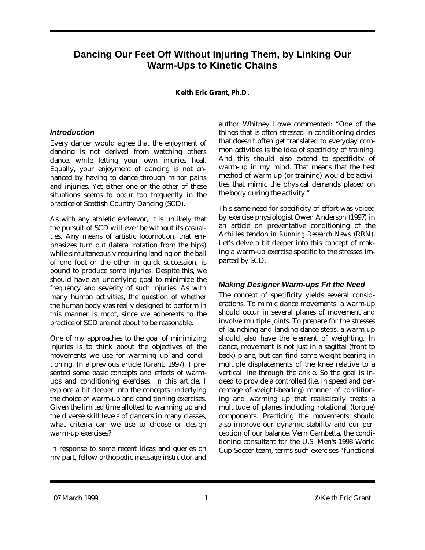# **Dancing Our Feet Off Without Injuring Them, by Linking Our Warm-Ups to Kinetic Chains**

#### **Keith Eric Grant, Ph.D.**

#### *Introduction*

Every dancer would agree that the enjoyment of dancing is not derived from watching others dance, while letting your own injuries heal. Equally, your enjoyment of dancing is not enhanced by having to dance through minor pains and injuries. Yet either one or the other of these situations seems to occur too frequently in the practice of Scottish Country Dancing (SCD).

As with any athletic endeavor, it is unlikely that the pursuit of SCD will ever be without its casualties. Any means of artistic locomotion, that emphasizes turn out (lateral rotation from the hips) while simultaneously requiring landing on the ball of one foot or the other in quick succession, is bound to produce some injuries. Despite this, we should have an underlying goal to minimize the frequency and severity of such injuries. As with many human activities, the question of whether the human body was really designed to perform in this manner is moot, since we adherents to the practice of SCD are not about to be reasonable.

One of my approaches to the goal of minimizing injuries is to think about the objectives of the movements we use for warming up and conditioning. In a previous article (Grant, 1997), I presented some basic concepts and effects of warmups and conditioning exercises. In this article, I explore a bit deeper into the concepts underlying the choice of warm-up and conditioning exercises. Given the limited time allotted to warming up and the diverse skill levels of dancers in many classes, what criteria can we use to choose or design warm-up exercises?

In response to some recent ideas and queries on my part, fellow orthopedic massage instructor and author Whitney Lowe commented: "One of the things that is often stressed in conditioning circles that doesn't often get translated to everyday common activities is the idea of specificity of training. And this should also extend to specificity of warm-up in my mind. That means that the best method of warm-up (or training) would be activities that mimic the physical demands placed on the body during the activity."

This same need for specificity of effort was voiced by exercise physiologist Owen Anderson (1997) in an article on preventative conditioning of the Achilles tendon *in Running Research News* (RRN). Let's delve a bit deeper into this concept of making a warm-up exercise specific to the stresses imparted by SCD.

### *Making Designer Warm-ups Fit the Need*

The concept of specificity yields several considerations. To mimic dance movements, a warm-up should occur in several planes of movement and involve multiple joints. To prepare for the stresses of launching and landing dance steps, a warm-up should also have the element of weighting. In dance, movement is not just in a sagittal (front to back) plane, but can find some weight bearing in multiple displacements of the knee relative to a vertical line through the ankle. So the goal is indeed to provide a controlled (i.e. in speed and percentage of weight-bearing) manner of conditioning and warming up that realistically treats a multitude of planes including rotational (torque) components. Practicing the movements should also improve our dynamic stability and our perception of our balance. Vern Gambetta, the conditioning consultant for the U.S. Men's 1998 World Cup Soccer team, terms such exercises "functional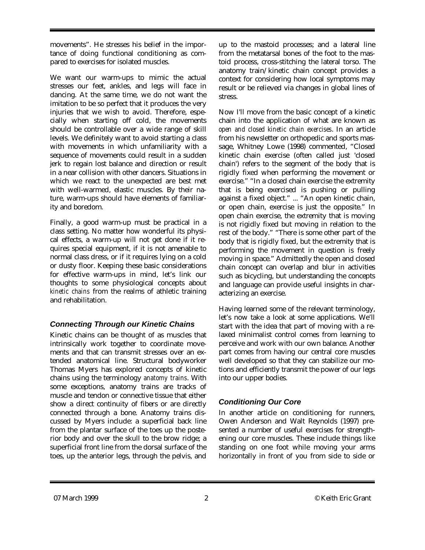movements". He stresses his belief in the importance of doing functional conditioning as compared to exercises for isolated muscles.

We want our warm-ups to mimic the actual stresses our feet, ankles, and legs will face in dancing. At the same time, we do not want the imitation to be so perfect that it produces the very injuries that we wish to avoid. Therefore, especially when starting off cold, the movements should be controllable over a wide range of skill levels. We definitely want to avoid starting a class with movements in which unfamiliarity with a sequence of movements could result in a sudden jerk to regain lost balance and direction or result in a near collision with other dancers. Situations in which we react to the unexpected are best met with well-warmed, elastic muscles. By their nature, warm-ups should have elements of familiarity and boredom.

Finally, a good warm-up must be practical in a class setting. No matter how wonderful its physical effects, a warm-up will not get done if it requires special equipment, if it is not amenable to normal class dress, or if it requires lying on a cold or dusty floor. Keeping these basic considerations for effective warm-ups in mind, let's link our thoughts to some physiological concepts about *kinetic chains* from the realms of athletic training and rehabilitation.

# *Connecting Through our Kinetic Chains*

Kinetic chains can be thought of as muscles that intrinsically work together to coordinate movements and that can transmit stresses over an extended anatomical line. Structural bodyworker Thomas Myers has explored concepts of kinetic chains using the terminology *anatomy trains*. With some exceptions, anatomy trains are tracks of muscle and tendon or connective tissue that either show a direct continuity of fibers or are directly connected through a bone. Anatomy trains discussed by Myers include: a superficial back line from the plantar surface of the toes up the posterior body and over the skull to the brow ridge; a superficial front line from the dorsal surface of the toes, up the anterior legs, through the pelvis, and

up to the mastoid processes; and a lateral line from the metatarsal bones of the foot to the mastoid process, cross-stitching the lateral torso. The anatomy train/kinetic chain concept provides a context for considering how local symptoms may result or be relieved via changes in global lines of stress.

Now I'll move from the basic concept of a kinetic chain into the application of what are known as *open and closed kinetic chain exercises*. In an article from his newsletter on orthopedic and sports massage, Whitney Lowe (1998) commented, "Closed kinetic chain exercise (often called just 'closed chain') refers to the segment of the body that is rigidly fixed when performing the movement or exercise." "In a closed chain exercise the extremity that is being exercised is pushing or pulling against a fixed object." ... "An open kinetic chain, or open chain, exercise is just the opposite." In open chain exercise, the extremity that is moving is not rigidly fixed but moving in relation to the rest of the body." "There is some other part of the body that is rigidly fixed, but the extremity that is performing the movement in question is freely moving in space." Admittedly the open and closed chain concept can overlap and blur in activities such as bicycling, but understanding the concepts and language can provide useful insights in characterizing an exercise.

Having learned some of the relevant terminology, let's now take a look at some applications. We'll start with the idea that part of moving with a relaxed minimalist control comes from learning to perceive and work with our own balance. Another part comes from having our central core muscles well developed so that they can stabilize our motions and efficiently transmit the power of our legs into our upper bodies.

# *Conditioning Our Core*

In another article on conditioning for runners, Owen Anderson and Walt Reynolds (1997) presented a number of useful exercises for strengthening our core muscles. These include things like standing on one foot while moving your arms horizontally in front of you from side to side or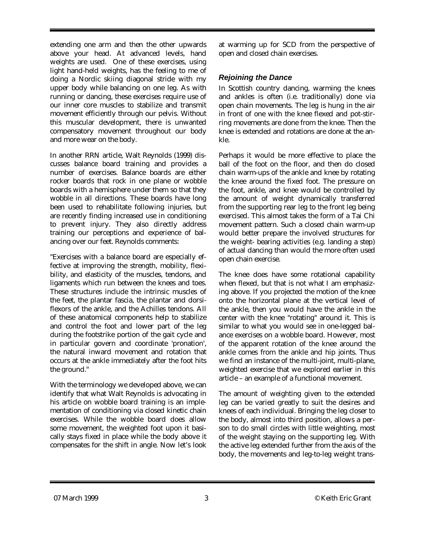extending one arm and then the other upwards above your head. At advanced levels, hand weights are used. One of these exercises, using light hand-held weights, has the feeling to me of doing a Nordic skiing diagonal stride with my upper body while balancing on one leg. As with running or dancing, these exercises require use of our inner core muscles to stabilize and transmit movement efficiently through our pelvis. Without this muscular development, there is unwanted compensatory movement throughout our body and more wear on the body.

In another RRN article, Walt Reynolds (1999) discusses balance board training and provides a number of exercises. Balance boards are either rocker boards that rock in one plane or wobble boards with a hemisphere under them so that they wobble in all directions. These boards have long been used to rehabilitate following injuries, but are recently finding increased use in conditioning to prevent injury. They also directly address training our perceptions and experience of balancing over our feet. Reynolds comments:

"Exercises with a balance board are especially effective at improving the strength, mobility, flexibility, and elasticity of the muscles, tendons, and ligaments which run between the knees and toes. These structures include the intrinsic muscles of the feet, the plantar fascia, the plantar and dorsiflexors of the ankle, and the Achilles tendons. All of these anatomical components help to stabilize and control the foot and lower part of the leg during the footstrike portion of the gait cycle and in particular govern and coordinate 'pronation', the natural inward movement and rotation that occurs at the ankle immediately after the foot hits the ground."

With the terminology we developed above, we can identify that what Walt Reynolds is advocating in his article on wobble board training is an implementation of conditioning via closed kinetic chain exercises. While the wobble board does allow some movement, the weighted foot upon it basically stays fixed in place while the body above it compensates for the shift in angle. Now let's look

at warming up for SCD from the perspective of open and closed chain exercises.

### *Rejoining the Dance*

In Scottish country dancing, warming the knees and ankles is often (i.e. traditionally) done via open chain movements. The leg is hung in the air in front of one with the knee flexed and pot-stirring movements are done from the knee. Then the knee is extended and rotations are done at the ankle.

Perhaps it would be more effective to place the ball of the foot on the floor, and then do closed chain warm-ups of the ankle and knee by rotating the knee around the fixed foot. The pressure on the foot, ankle, and knee would be controlled by the amount of weight dynamically transferred from the supporting rear leg to the front leg being exercised. This almost takes the form of a Tai Chi movement pattern. Such a closed chain warm-up would better prepare the involved structures for the weight- bearing activities (e.g. landing a step) of actual dancing than would the more often used open chain exercise.

The knee does have some rotational capability when flexed, but that is not what I am emphasizing above. If you projected the motion of the knee onto the horizontal plane at the vertical level of the ankle, then you would have the ankle in the center with the knee "rotating" around it. This is similar to what you would see in one-legged balance exercises on a wobble board. However, most of the apparent rotation of the knee around the ankle comes from the ankle and hip joints. Thus we find an instance of the multi-joint, multi-plane, weighted exercise that we explored earlier in this article – an example of a functional movement.

The amount of weighting given to the extended leg can be varied greatly to suit the desires and knees of each individual. Bringing the leg closer to the body, almost into third position, allows a person to do small circles with little weighting, most of the weight staying on the supporting leg. With the active leg extended further from the axis of the body, the movements and leg-to-leg weight trans